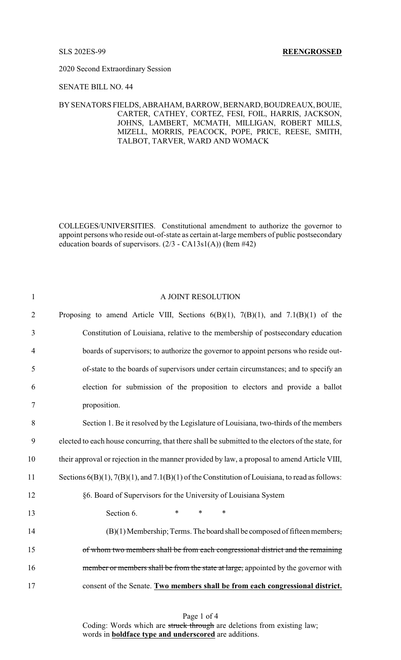2020 Second Extraordinary Session

### SENATE BILL NO. 44

# BYSENATORS FIELDS, ABRAHAM, BARROW, BERNARD, BOUDREAUX, BOUIE, CARTER, CATHEY, CORTEZ, FESI, FOIL, HARRIS, JACKSON, JOHNS, LAMBERT, MCMATH, MILLIGAN, ROBERT MILLS, MIZELL, MORRIS, PEACOCK, POPE, PRICE, REESE, SMITH, TALBOT, TARVER, WARD AND WOMACK

COLLEGES/UNIVERSITIES. Constitutional amendment to authorize the governor to appoint persons who reside out-of-state as certain at-large members of public postsecondary education boards of supervisors. (2/3 - CA13s1(A)) (Item #42)

| $\mathbf{1}$   | A JOINT RESOLUTION                                                                                     |
|----------------|--------------------------------------------------------------------------------------------------------|
| $\overline{2}$ | Proposing to amend Article VIII, Sections $6(B)(1)$ , $7(B)(1)$ , and $7.1(B)(1)$ of the               |
| 3              | Constitution of Louisiana, relative to the membership of postsecondary education                       |
| $\overline{4}$ | boards of supervisors; to authorize the governor to appoint persons who reside out-                    |
| 5              | of-state to the boards of supervisors under certain circumstances; and to specify an                   |
| 6              | election for submission of the proposition to electors and provide a ballot                            |
| $\tau$         | proposition.                                                                                           |
| 8              | Section 1. Be it resolved by the Legislature of Louisiana, two-thirds of the members                   |
| 9              | elected to each house concurring, that there shall be submitted to the electors of the state, for      |
| 10             | their approval or rejection in the manner provided by law, a proposal to amend Article VIII,           |
| 11             | Sections $6(B)(1)$ , $7(B)(1)$ , and $7.1(B)(1)$ of the Constitution of Louisiana, to read as follows: |
| 12             | §6. Board of Supervisors for the University of Louisiana System                                        |
| 13             | Section 6.<br>$\ast$<br>$\ast$<br>$\ast$                                                               |
| 14             | $(B)(1)$ Membership; Terms. The board shall be composed of fifteen members,                            |
| 15             | of whom two members shall be from each congressional district and the remaining                        |
| 16             | member or members shall be from the state at large, appointed by the governor with                     |
| 17             | consent of the Senate. Two members shall be from each congressional district.                          |

Page 1 of 4 Coding: Words which are struck through are deletions from existing law; words in **boldface type and underscored** are additions.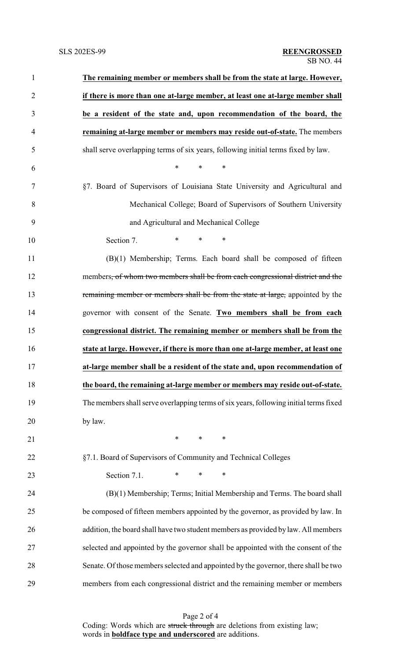| $\mathbf{1}$   | The remaining member or members shall be from the state at large. However,            |
|----------------|---------------------------------------------------------------------------------------|
| $\overline{2}$ | if there is more than one at-large member, at least one at-large member shall         |
| 3              | be a resident of the state and, upon recommendation of the board, the                 |
| 4              | remaining at-large member or members may reside out-of-state. The members             |
| 5              | shall serve overlapping terms of six years, following initial terms fixed by law.     |
| 6              | $\ast$<br>*<br>*                                                                      |
| 7              | §7. Board of Supervisors of Louisiana State University and Agricultural and           |
| 8              | Mechanical College; Board of Supervisors of Southern University                       |
| 9              | and Agricultural and Mechanical College                                               |
| 10             | $\ast$<br>Section 7.<br>*<br>∗                                                        |
| 11             | (B)(1) Membership; Terms. Each board shall be composed of fifteen                     |
| 12             | members, of whom two members shall be from each congressional district and the        |
| 13             | remaining member or members shall be from the state at large, appointed by the        |
| 14             | governor with consent of the Senate. Two members shall be from each                   |
| 15             | congressional district. The remaining member or members shall be from the             |
| 16             | state at large. However, if there is more than one at-large member, at least one      |
| 17             | at-large member shall be a resident of the state and, upon recommendation of          |
| 18             | the board, the remaining at-large member or members may reside out-of-state.          |
| 19             | The members shall serve overlapping terms of six years, following initial terms fixed |
| 20             | by law.                                                                               |
| 21             | $\ast$<br>$\ast$<br>∗                                                                 |
| 22             | §7.1. Board of Supervisors of Community and Technical Colleges                        |
| 23             | $\ast$<br>Section 7.1.<br>∗<br>∗                                                      |
| 24             | (B)(1) Membership; Terms; Initial Membership and Terms. The board shall               |
| 25             | be composed of fifteen members appointed by the governor, as provided by law. In      |
| 26             | addition, the board shall have two student members as provided by law. All members    |
| 27             | selected and appointed by the governor shall be appointed with the consent of the     |
| 28             | Senate. Of those members selected and appointed by the governor, there shall be two   |
| 29             | members from each congressional district and the remaining member or members          |

Page 2 of 4 Coding: Words which are struck through are deletions from existing law; words in **boldface type and underscored** are additions.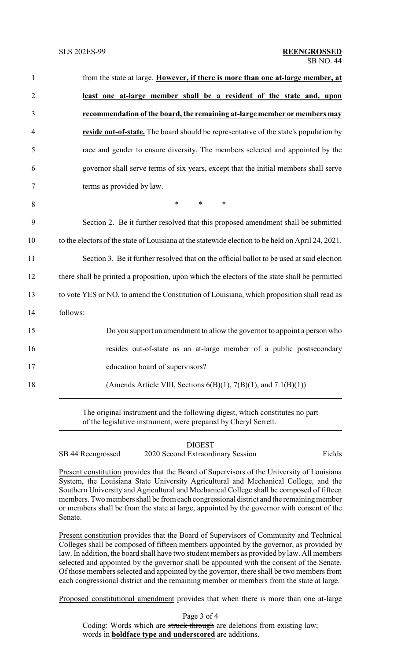| $\mathbf{1}$   | from the state at large. However, if there is more than one at-large member, at                   |
|----------------|---------------------------------------------------------------------------------------------------|
| $\overline{2}$ | least one at-large member shall be a resident of the state and, upon                              |
| 3              | recommendation of the board, the remaining at-large member or members may                         |
| $\overline{4}$ | reside out-of-state. The board should be representative of the state's population by              |
| 5              | race and gender to ensure diversity. The members selected and appointed by the                    |
| 6              | governor shall serve terms of six years, except that the initial members shall serve              |
| 7              | terms as provided by law.                                                                         |
| 8              | $\ast$<br>$\ast$<br>$\ast$                                                                        |
| 9              | Section 2. Be it further resolved that this proposed amendment shall be submitted                 |
| 10             | to the electors of the state of Louisiana at the statewide election to be held on April 24, 2021. |
| 11             | Section 3. Be it further resolved that on the official ballot to be used at said election         |
| 12             | there shall be printed a proposition, upon which the electors of the state shall be permitted     |
| 13             | to vote YES or NO, to amend the Constitution of Louisiana, which proposition shall read as        |
| 14             | follows:                                                                                          |
| 15             | Do you support an amendment to allow the governor to appoint a person who                         |
| 16             | resides out-of-state as an at-large member of a public postsecondary                              |
| 17             | education board of supervisors?                                                                   |
| 18             | (Amends Article VIII, Sections $6(B)(1)$ , $7(B)(1)$ , and $7.1(B)(1)$ )                          |
|                |                                                                                                   |

The original instrument and the following digest, which constitutes no part of the legislative instrument, were prepared by Cheryl Serrett.

# DIGEST

SB 44 Reengrossed 2020 Second Extraordinary Session Fields

Present constitution provides that the Board of Supervisors of the University of Louisiana System, the Louisiana State University Agricultural and Mechanical College, and the Southern University and Agricultural and Mechanical College shall be composed of fifteen members. Two members shall be from each congressional district and the remaining member or members shall be from the state at large, appointed by the governor with consent of the Senate.

Present constitution provides that the Board of Supervisors of Community and Technical Colleges shall be composed of fifteen members appointed by the governor, as provided by law. In addition, the board shall have two student members as provided by law. All members selected and appointed by the governor shall be appointed with the consent of the Senate. Of those members selected and appointed by the governor, there shall be two members from each congressional district and the remaining member or members from the state at large.

Proposed constitutional amendment provides that when there is more than one at-large

Page 3 of 4 Coding: Words which are struck through are deletions from existing law; words in **boldface type and underscored** are additions.